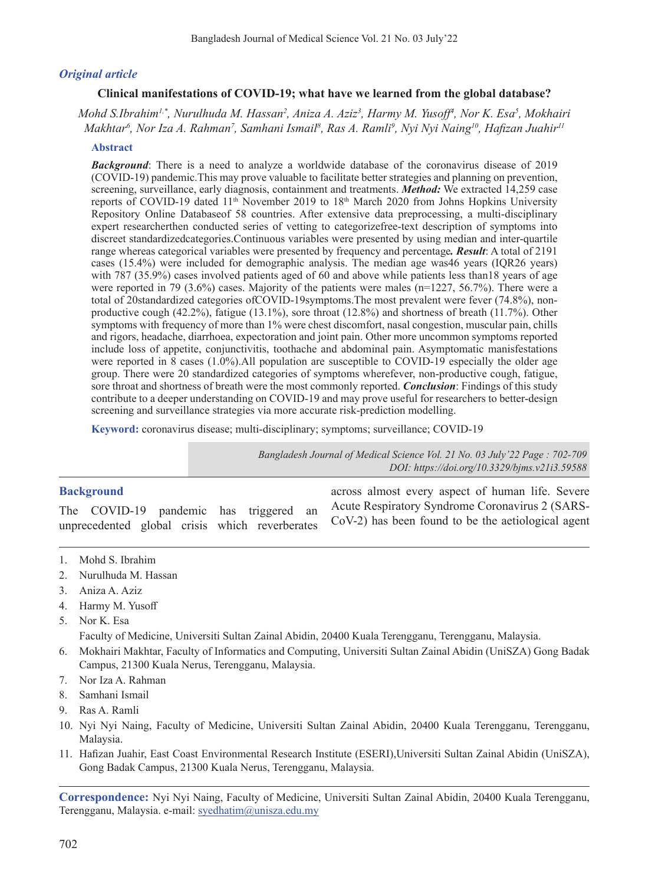#### *Original article*

#### **Clinical manifestations of COVID-19; what have we learned from the global database?**

*Mohd S.Ibrahim1,\*, Nurulhuda M. Hassan2 , Aniza A. Aziz3 , Harmy M. Yusoff<sup>4</sup> , Nor K. Esa5 , Mokhairi Makhtar6 , Nor Iza A. Rahman7 , Samhani Ismail8 , Ras A. Ramli9 , Nyi Nyi Naing10, Hafizan Juahir<sup>11</sup>*

#### **Abstract**

*Background*: There is a need to analyze a worldwide database of the coronavirus disease of 2019 (COVID-19) pandemic.This may prove valuable to facilitate better strategies and planning on prevention, screening, surveillance, early diagnosis, containment and treatments. *Method:* We extracted 14,259 case reports of COVID-19 dated 11<sup>th</sup> November 2019 to 18<sup>th</sup> March 2020 from Johns Hopkins University Repository Online Databaseof 58 countries. After extensive data preprocessing, a multi-disciplinary expert researcherthen conducted series of vetting to categorizefree-text description of symptoms into discreet standardizedcategories.Continuous variables were presented by using median and inter-quartile range whereas categorical variables were presented by frequency and percentage*. Result*: A total of 2191 cases (15.4%) were included for demographic analysis. The median age was46 years (IQR26 years) with 787 (35.9%) cases involved patients aged of 60 and above while patients less than18 years of age were reported in 79 (3.6%) cases. Majority of the patients were males (n=1227, 56.7%). There were a total of 20standardized categories ofCOVID-19symptoms.The most prevalent were fever (74.8%), nonproductive cough (42.2%), fatigue (13.1%), sore throat (12.8%) and shortness of breath (11.7%). Other symptoms with frequency of more than 1% were chest discomfort, nasal congestion, muscular pain, chills and rigors, headache, diarrhoea, expectoration and joint pain. Other more uncommon symptoms reported include loss of appetite, conjunctivitis, toothache and abdominal pain. Asymptomatic manisfestations were reported in  $\overline{8}$  cases (1.0%).All population are susceptible to COVID-19 especially the older age group. There were 20 standardized categories of symptoms wherefever, non-productive cough, fatigue, sore throat and shortness of breath were the most commonly reported. *Conclusion*: Findings of this study contribute to a deeper understanding on COVID-19 and may prove useful for researchers to better-design screening and surveillance strategies via more accurate risk-prediction modelling.

**Keyword:** coronavirus disease; multi-disciplinary; symptoms; surveillance; COVID-19

*Bangladesh Journal of Medical Science Vol. 21 No. 03 July'22 Page : 702-709*

|                                                | DOI: https://doi.org/10.3329/bjms.v21i3.59588         |
|------------------------------------------------|-------------------------------------------------------|
| <b>Background</b>                              | across almost every aspect of human life. Severe      |
| The COVID-19 pandemic has triggered<br>an      | Acute Respiratory Syndrome Coronavirus 2 (SARS-       |
| unprecedented global crisis which reverberates | $CoV-2$ ) has been found to be the aetiological agent |

- 1. Mohd S. Ibrahim
- 2. Nurulhuda M. Hassan
- 3. Aniza A. Aziz
- 4. Harmy M. Yusoff
- 5. Nor K. Esa

Faculty of Medicine, Universiti Sultan Zainal Abidin, 20400 Kuala Terengganu, Terengganu, Malaysia.

- 6. Mokhairi Makhtar, Faculty of Informatics and Computing, Universiti Sultan Zainal Abidin (UniSZA) Gong Badak Campus, 21300 Kuala Nerus, Terengganu, Malaysia.
- 7. Nor Iza A. Rahman
- 8. Samhani Ismail
- 9. Ras A. Ramli
- 10. Nyi Nyi Naing, Faculty of Medicine, Universiti Sultan Zainal Abidin, 20400 Kuala Terengganu, Terengganu, Malaysia.
- 11. Hafizan Juahir, East Coast Environmental Research Institute (ESERI),Universiti Sultan Zainal Abidin (UniSZA), Gong Badak Campus, 21300 Kuala Nerus, Terengganu, Malaysia.

**Correspondence:** Nyi Nyi Naing, Faculty of Medicine, Universiti Sultan Zainal Abidin, 20400 Kuala Terengganu, Terengganu, Malaysia. e-mail: syedhatim@unisza.edu.my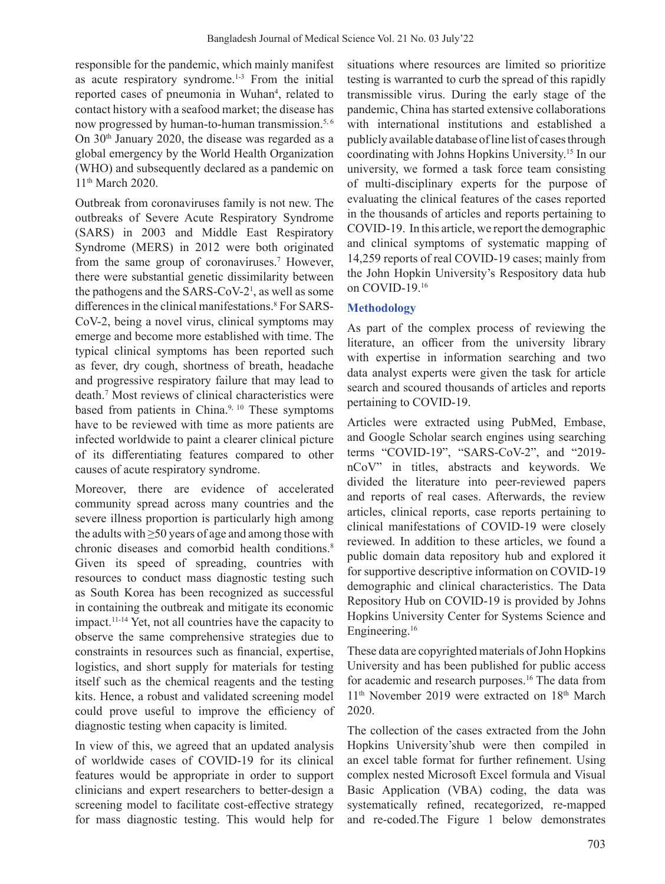responsible for the pandemic, which mainly manifest as acute respiratory syndrome.<sup>1-3</sup> From the initial reported cases of pneumonia in Wuhan<sup>4</sup>, related to contact history with a seafood market; the disease has now progressed by human-to-human transmission.<sup>5,6</sup> On 30th January 2020, the disease was regarded as a global emergency by the World Health Organization (WHO) and subsequently declared as a pandemic on 11<sup>th</sup> March 2020.

Outbreak from coronaviruses family is not new. The outbreaks of Severe Acute Respiratory Syndrome (SARS) in 2003 and Middle East Respiratory Syndrome (MERS) in 2012 were both originated from the same group of coronaviruses.<sup>7</sup> However, there were substantial genetic dissimilarity between the pathogens and the  $SARS-CoV-2<sup>1</sup>$ , as well as some differences in the clinical manifestations.<sup>8</sup> For SARS-CoV-2, being a novel virus, clinical symptoms may emerge and become more established with time. The typical clinical symptoms has been reported such as fever, dry cough, shortness of breath, headache and progressive respiratory failure that may lead to death.<sup>7</sup> Most reviews of clinical characteristics were based from patients in China.<sup>9, 10</sup> These symptoms have to be reviewed with time as more patients are infected worldwide to paint a clearer clinical picture of its differentiating features compared to other causes of acute respiratory syndrome.

Moreover, there are evidence of accelerated community spread across many countries and the severe illness proportion is particularly high among the adults with  $\geq 50$  years of age and among those with chronic diseases and comorbid health conditions.<sup>8</sup> Given its speed of spreading, countries with resources to conduct mass diagnostic testing such as South Korea has been recognized as successful in containing the outbreak and mitigate its economic impact.11-14 Yet, not all countries have the capacity to observe the same comprehensive strategies due to constraints in resources such as financial, expertise, logistics, and short supply for materials for testing itself such as the chemical reagents and the testing kits. Hence, a robust and validated screening model could prove useful to improve the efficiency of diagnostic testing when capacity is limited.

In view of this, we agreed that an updated analysis of worldwide cases of COVID-19 for its clinical features would be appropriate in order to support clinicians and expert researchers to better-design a screening model to facilitate cost-effective strategy for mass diagnostic testing. This would help for situations where resources are limited so prioritize testing is warranted to curb the spread of this rapidly transmissible virus. During the early stage of the pandemic, China has started extensive collaborations with international institutions and established a publicly available database of line list of cases through coordinating with Johns Hopkins University.15 In our university, we formed a task force team consisting of multi-disciplinary experts for the purpose of evaluating the clinical features of the cases reported in the thousands of articles and reports pertaining to COVID-19. In this article, we report the demographic and clinical symptoms of systematic mapping of 14,259 reports of real COVID-19 cases; mainly from the John Hopkin University's Respository data hub on COVID-19.<sup>16</sup>

# **Methodology**

As part of the complex process of reviewing the literature, an officer from the university library with expertise in information searching and two data analyst experts were given the task for article search and scoured thousands of articles and reports pertaining to COVID-19.

Articles were extracted using PubMed, Embase, and Google Scholar search engines using searching terms "COVID-19", "SARS-CoV-2", and "2019 nCoV" in titles, abstracts and keywords. We divided the literature into peer-reviewed papers and reports of real cases. Afterwards, the review articles, clinical reports, case reports pertaining to clinical manifestations of COVID-19 were closely reviewed. In addition to these articles, we found a public domain data repository hub and explored it for supportive descriptive information on COVID-19 demographic and clinical characteristics. The Data Repository Hub on COVID-19 is provided by Johns Hopkins University Center for Systems Science and Engineering.16

These data are copyrighted materials of John Hopkins University and has been published for public access for academic and research purposes.<sup>16</sup> The data from 11<sup>th</sup> November 2019 were extracted on 18<sup>th</sup> March 2020.

The collection of the cases extracted from the John Hopkins University'shub were then compiled in an excel table format for further refinement. Using complex nested Microsoft Excel formula and Visual Basic Application (VBA) coding, the data was systematically refined, recategorized, re-mapped and re-coded.The Figure 1 below demonstrates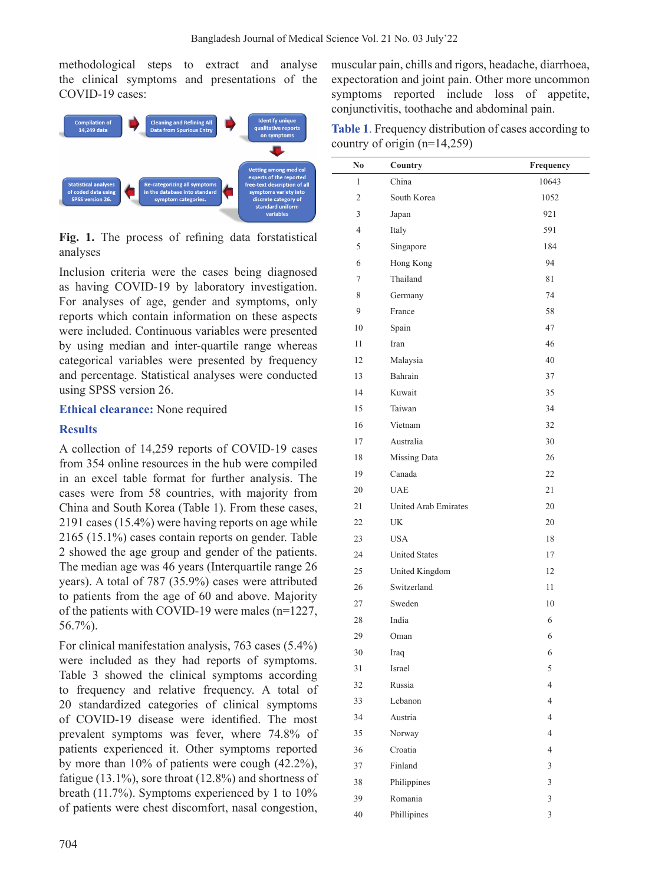methodological steps to extract and analyse the clinical symptoms and presentations of the COVID-19 cases:



**Fig. 1.** The process of refining data forstatistical analyses

Inclusion criteria were the cases being diagnosed as having COVID-19 by laboratory investigation. For analyses of age, gender and symptoms, only reports which contain information on these aspects were included. Continuous variables were presented by using median and inter-quartile range whereas categorical variables were presented by frequency and percentage. Statistical analyses were conducted using SPSS version 26.

### **Ethical clearance:** None required

### **Results**

A collection of 14,259 reports of COVID-19 cases from 354 online resources in the hub were compiled in an excel table format for further analysis. The cases were from 58 countries, with majority from China and South Korea (Table 1). From these cases, 2191 cases (15.4%) were having reports on age while 2165 (15.1%) cases contain reports on gender. Table 2 showed the age group and gender of the patients. The median age was 46 years (Interquartile range 26 years). A total of 787 (35.9%) cases were attributed to patients from the age of 60 and above. Majority of the patients with COVID-19 were males (n=1227, 56.7%).

For clinical manifestation analysis, 763 cases (5.4%) were included as they had reports of symptoms. Table 3 showed the clinical symptoms according to frequency and relative frequency. A total of 20 standardized categories of clinical symptoms of COVID-19 disease were identified. The most prevalent symptoms was fever, where 74.8% of patients experienced it. Other symptoms reported by more than 10% of patients were cough (42.2%), fatigue (13.1%), sore throat (12.8%) and shortness of breath (11.7%). Symptoms experienced by 1 to 10% of patients were chest discomfort, nasal congestion, muscular pain, chills and rigors, headache, diarrhoea, expectoration and joint pain. Other more uncommon symptoms reported include loss of appetite, conjunctivitis, toothache and abdominal pain.

**Table 1**. Frequency distribution of cases according to country of origin (n=14,259)

| No | Country                     | Frequency      |
|----|-----------------------------|----------------|
| 1  | China                       | 10643          |
| 2  | South Korea                 | 1052           |
| 3  | Japan                       | 921            |
| 4  | Italy                       | 591            |
| 5  | Singapore                   | 184            |
| 6  | Hong Kong                   | 94             |
| 7  | Thailand                    | 81             |
| 8  | Germany                     | 74             |
| 9  | France                      | 58             |
| 10 | Spain                       | 47             |
| 11 | Iran                        | 46             |
| 12 | Malaysia                    | 40             |
| 13 | Bahrain                     | 37             |
| 14 | Kuwait                      | 35             |
| 15 | Taiwan                      | 34             |
| 16 | Vietnam                     | 32             |
| 17 | Australia                   | 30             |
| 18 | Missing Data                | 26             |
| 19 | Canada                      | 22             |
| 20 | <b>UAE</b>                  | 21             |
| 21 | <b>United Arab Emirates</b> | 20             |
| 22 | <b>UK</b>                   | 20             |
| 23 | <b>USA</b>                  | 18             |
| 24 | <b>United States</b>        | 17             |
| 25 | United Kingdom              | 12             |
| 26 | Switzerland                 | 11             |
| 27 | Sweden                      | 10             |
| 28 | India                       | 6              |
| 29 | Oman                        | 6              |
| 30 | Iraq                        | 6              |
| 31 | Israel                      | 5              |
| 32 | Russia                      | $\overline{4}$ |
| 33 | Lebanon                     | $\overline{4}$ |
| 34 | Austria                     | $\overline{4}$ |
| 35 | Norway                      | $\overline{4}$ |
| 36 | Croatia                     | $\overline{4}$ |
| 37 | Finland                     | 3              |
| 38 | Philippines                 | 3              |
| 39 | Romania                     | 3              |
| 40 | Phillipines                 | 3              |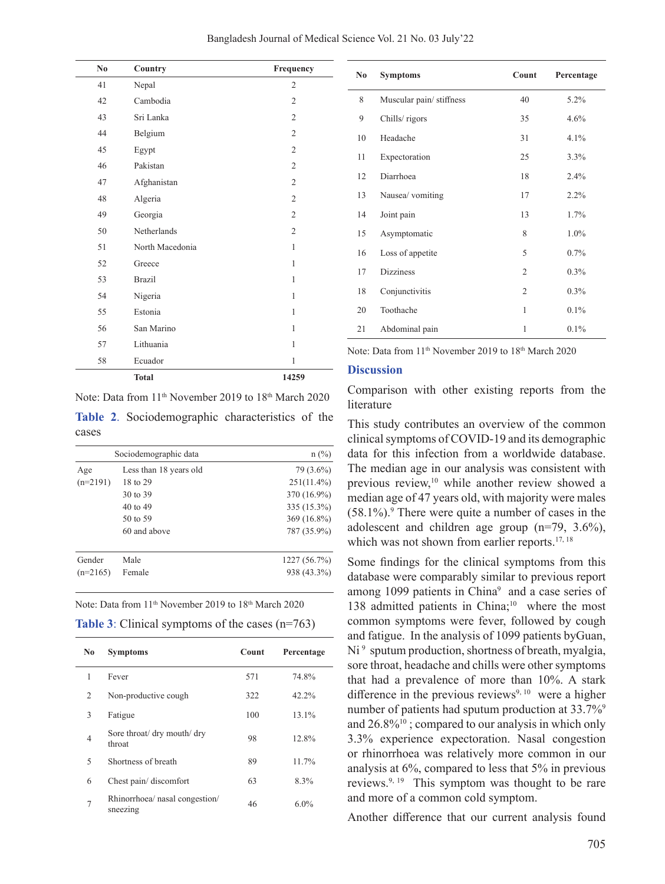| No | Country         | Frequency      |
|----|-----------------|----------------|
| 41 | Nepal           | 2              |
| 42 | Cambodia        | $\overline{c}$ |
| 43 | Sri Lanka       | $\overline{2}$ |
| 44 | Belgium         | $\overline{2}$ |
| 45 | Egypt           | $\overline{2}$ |
| 46 | Pakistan        | $\overline{2}$ |
| 47 | Afghanistan     | $\overline{2}$ |
| 48 | Algeria         | $\overline{2}$ |
| 49 | Georgia         | $\overline{2}$ |
| 50 | Netherlands     | $\overline{2}$ |
| 51 | North Macedonia | 1              |
| 52 | Greece          | 1              |
| 53 | <b>Brazil</b>   | 1              |
| 54 | Nigeria         | 1              |
| 55 | Estonia         | $\mathbf{1}$   |
| 56 | San Marino      | 1              |
| 57 | Lithuania       | 1              |
| 58 | Ecuador         | $\mathbf{1}$   |
|    | <b>Total</b>    | 14259          |

Note: Data from 11<sup>th</sup> November 2019 to 18<sup>th</sup> March 2020

**Table 2**. Sociodemographic characteristics of the cases

|            | Sociodemographic data  | $n$ (%)       |
|------------|------------------------|---------------|
| Age        | Less than 18 years old | 79 (3.6%)     |
| $(n=2191)$ | 18 to 29               | $251(11.4\%)$ |
|            | 30 to 39               | 370 (16.9%)   |
|            | 40 to 49               | 335 (15.3%)   |
|            | 50 to 59               | 369 (16.8%)   |
|            | 60 and above           | 787 (35.9%)   |
| Gender     | Male                   | 1227 (56.7%)  |
| $(n=2165)$ | Female                 | 938 (43.3%)   |

|  | <b>Table 3:</b> Clinical symptoms of the cases $(n=763)$ |  |
|--|----------------------------------------------------------|--|
|--|----------------------------------------------------------|--|

| No             | <b>Symptoms</b>                            | Count | Percentage |
|----------------|--------------------------------------------|-------|------------|
| 1              | Fever                                      | 571   | 74.8%      |
| 2              | Non-productive cough                       | 322   | 42.2%      |
| 3              | Fatigue                                    | 100   | 13.1%      |
| $\overline{4}$ | Sore throat/ dry mouth/ dry<br>throat      | 98    | 12.8%      |
| 5              | Shortness of breath                        | 89    | 11.7%      |
| 6              | Chest pain/discomfort                      | 63    | 8.3%       |
| 7              | Rhinorrhoea/ nasal congestion/<br>sneezing | 46    | $6.0\%$    |

| N <sub>0</sub> | <b>Symptoms</b>         | Count          | Percentage |
|----------------|-------------------------|----------------|------------|
| 8              | Muscular pain/stiffness | 40             | 5.2%       |
| 9              | Chills/rigors           | 35             | 4.6%       |
| 10             | Headache                | 31             | $4.1\%$    |
| 11             | Expectoration           | 25             | 3.3%       |
| 12             | Diarrhoea               | 18             | 2.4%       |
| 13             | Nausea/ vomiting        | 17             | 2.2%       |
| 14             | Joint pain              | 13             | 1.7%       |
| 15             | Asymptomatic            | 8              | 1.0%       |
| 16             | Loss of appetite        | 5              | 0.7%       |
| 17             | <b>Dizziness</b>        | $\overline{2}$ | 0.3%       |
| 18             | Conjunctivitis          | $\overline{2}$ | 0.3%       |
| 20             | Toothache               | 1              | 0.1%       |
| 21             | Abdominal pain          | 1              | 0.1%       |

Note: Data from 11<sup>th</sup> November 2019 to 18<sup>th</sup> March 2020

#### **Discussion**

Comparison with other existing reports from the literature

This study contributes an overview of the common clinical symptoms of COVID-19 and its demographic data for this infection from a worldwide database. The median age in our analysis was consistent with previous review,<sup>10</sup> while another review showed a median age of 47 years old, with majority were males  $(58.1\%)$ . There were quite a number of cases in the adolescent and children age group (n=79, 3.6%), which was not shown from earlier reports.<sup>17, 18</sup>

Some findings for the clinical symptoms from this database were comparably similar to previous report among 1099 patients in China<sup>9</sup> and a case series of 138 admitted patients in China;<sup>10</sup> where the most common symptoms were fever, followed by cough and fatigue. In the analysis of 1099 patients byGuan, Ni<sup>9</sup> sputum production, shortness of breath, myalgia, sore throat, headache and chills were other symptoms that had a prevalence of more than 10%. A stark difference in the previous reviews<sup>9, 10</sup> were a higher number of patients had sputum production at 33.7%<sup>9</sup> and  $26.8\%$ <sup>10</sup>; compared to our analysis in which only 3.3% experience expectoration. Nasal congestion or rhinorrhoea was relatively more common in our analysis at 6%, compared to less that 5% in previous reviews.9, 19 This symptom was thought to be rare and more of a common cold symptom.

Another difference that our current analysis found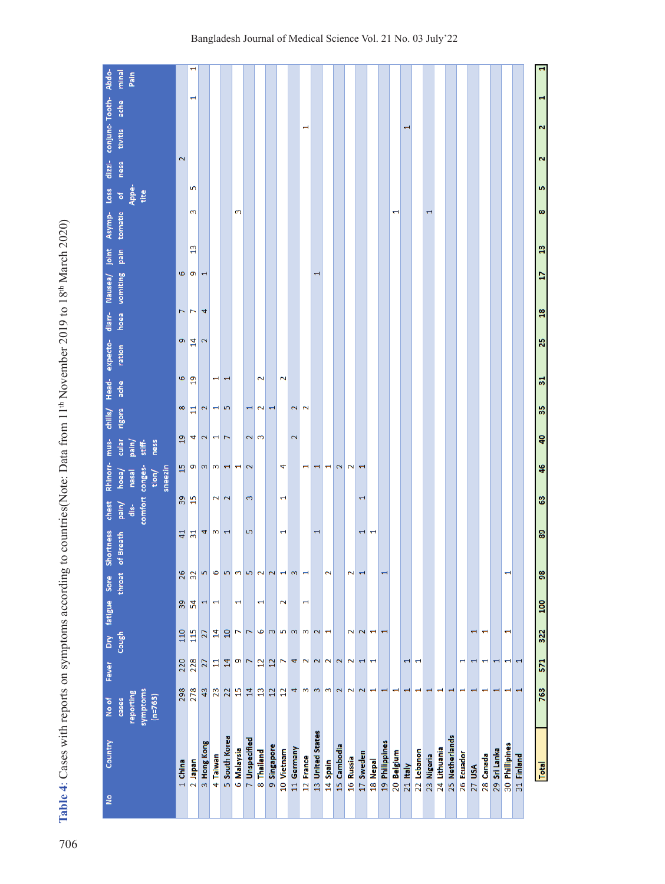Table 4: Cases with reports on symptoms according to countries(Note: Data from 11<sup>th</sup> November 2019 to 18<sup>th</sup> March 2020) **Table 4**: Cases with reports on symptoms according to countries(Note: Data from 11th November 2019 to 18th March 2020)

| Country<br>å     | reporting<br>No of<br>cases                                                 | Fever                                                                       |                                                                    | Dry fatigue Sore<br>Cough throat |                                                                           | Shortness<br>throat of Breath                                               | chest<br>pain/<br>dis- | Rhinorr-<br>hoea/<br>nasal          | mus-<br>cular<br>pain/                  | chills/<br>rigors | Head-<br>ache   | expecto-<br>ration | diarr-         | hoea vomiting<br>Nausea/                                                   | joint<br>pain | tomatic<br>Asymp- | Appe-<br>Loss<br>$\frac{1}{2}$ | $dizzi-$<br>ness | conjunc-Tooth-<br>tivitis | ache | Abdo-<br>minal<br>Pain |
|------------------|-----------------------------------------------------------------------------|-----------------------------------------------------------------------------|--------------------------------------------------------------------|----------------------------------|---------------------------------------------------------------------------|-----------------------------------------------------------------------------|------------------------|-------------------------------------|-----------------------------------------|-------------------|-----------------|--------------------|----------------|----------------------------------------------------------------------------|---------------|-------------------|--------------------------------|------------------|---------------------------|------|------------------------|
|                  | symptoms<br>$(n=763)$                                                       |                                                                             |                                                                    |                                  |                                                                           |                                                                             |                        | comfort conges-<br>sneezin<br>tion/ | ness<br>stiff-                          |                   |                 |                    |                |                                                                            |               |                   | tite                           |                  |                           |      |                        |
| 1 China          | 298                                                                         | 220                                                                         | 110                                                                | $30^{\circ}$                     | 26                                                                        | $\overline{4}$                                                              |                        |                                     | $\overline{a}$                          | 8                 | 6               | ø                  | L              | 6                                                                          |               |                   |                                | 2                |                           |      |                        |
| 2 Japan          | 278                                                                         | 228                                                                         | 115                                                                | 54                               | 32                                                                        | $\overline{31}$                                                             | ន $\frac{9}{15}$       | $\frac{15}{9}$                      | 4                                       | E                 | $\overline{a}$  | $\overline{1}$     | $\overline{ }$ | G                                                                          | $\frac{2}{3}$ | 3                 | 5                              |                  |                           |      | H                      |
| 3 Hong Kong      | 43                                                                          | 27                                                                          | 27                                                                 | H                                | 5                                                                         | 4                                                                           |                        |                                     | $\mathbf{z}$                            | $\mathbf{z}$      |                 | 2                  | 4              | $\mathbf{\mathbf{\mathbf{\mathbf{\mathbf{\mathbf{\mathbf{\mathbf{H}}}}}}}$ |               |                   |                                |                  |                           |      |                        |
| 4 Taiwan         | 23                                                                          | 븝                                                                           | $\overline{14}$                                                    | $\mathrel{\rightharpoonup}$      | 6                                                                         | ന                                                                           |                        | 2                                   | 4<br>m m                                | H                 | H               |                    |                |                                                                            |               |                   |                                |                  |                           |      |                        |
| 5 South Korea    | 22                                                                          | 14                                                                          | $\overline{10}$                                                    |                                  | $\overline{5}$                                                            | $\mathbf{\mathbf{\mathbf{\mathbf{\mathbf{\mathbf{\mathbf{\mathbf{H}}}}}}}}$ |                        | 2                                   | $\overline{ }$<br>$\blacktriangleright$ | 5                 | $\mathbf \tau$  |                    |                |                                                                            |               |                   |                                |                  |                           |      |                        |
| 6 Malaysia       | $\frac{5}{2}$                                                               | ō                                                                           | 7                                                                  | $\overline{\phantom{0}}$         | $\mathbf{c}$                                                              |                                                                             |                        |                                     | $\overline{\phantom{0}}$                |                   |                 |                    |                |                                                                            |               | 3                 |                                |                  |                           |      |                        |
| 7 Unspecified    | $\overline{14}$                                                             | $\overline{ }$                                                              | 7                                                                  |                                  | $\overline{5}$                                                            | 5                                                                           |                        | 3                                   | 2<br>$\mathbf{\tilde{z}}$               | Ţ                 |                 |                    |                |                                                                            |               |                   |                                |                  |                           |      |                        |
| 8 Thailand       | $\mathbf{r}$                                                                | $\overline{12}$                                                             | 9                                                                  | H                                | $\overline{\mathbf{c}}$                                                   |                                                                             |                        |                                     | 3                                       | 2                 | $\overline{2}$  |                    |                |                                                                            |               |                   |                                |                  |                           |      |                        |
| 9 Singapore      | 12                                                                          | $\overline{12}$                                                             | $\mathsf{m}$                                                       |                                  | $\mathbf{\tilde{c}}$                                                      |                                                                             |                        |                                     |                                         | $\mathbf \tau$    |                 |                    |                |                                                                            |               |                   |                                |                  |                           |      |                        |
| 10 Vietnam       | $\overline{12}$                                                             | $\overline{ }$                                                              | $\overline{5}$                                                     | $\mathbf 2$                      | $\mathbf -$                                                               | $\overline{\phantom{0}}$                                                    |                        | $\overline{\phantom{0}}$            | 4                                       |                   | 2               |                    |                |                                                                            |               |                   |                                |                  |                           |      |                        |
| 11 Germany       | 4                                                                           | 4                                                                           | $\omega$                                                           |                                  | 3                                                                         |                                                                             |                        |                                     | $\mathbf 2$                             | 2                 |                 |                    |                |                                                                            |               |                   |                                |                  |                           |      |                        |
| 12 France        | m                                                                           | $\sim$                                                                      | 3                                                                  | $\overline{\phantom{0}}$         | $\mathbf{\mathbf{\mathbf{\mathbf{\mathbf{\mathbf{\mathbf{\mathbf{H}}}}}}$ |                                                                             |                        |                                     | $\mathbf \tau$                          | $\overline{2}$    |                 |                    |                |                                                                            |               |                   |                                |                  | $\mathbf \tau$            |      |                        |
| 13 United States |                                                                             | $\sim$                                                                      | 2                                                                  |                                  |                                                                           | H                                                                           |                        |                                     | $\mathbf{\overline{u}}$                 |                   |                 |                    |                | $\overline{\phantom{0}}$                                                   |               |                   |                                |                  |                           |      |                        |
| 14 Spain         | m/m                                                                         | $\mathbf{\tilde{z}}$                                                        | $\blacksquare$                                                     |                                  | $\mathbf 2$                                                               |                                                                             |                        |                                     | $\overline{\phantom{0}}$                |                   |                 |                    |                |                                                                            |               |                   |                                |                  |                           |      |                        |
| 15 Cambodia      | $\sim$                                                                      | $\sim$                                                                      |                                                                    |                                  |                                                                           |                                                                             |                        |                                     | 2                                       |                   |                 |                    |                |                                                                            |               |                   |                                |                  |                           |      |                        |
| 16 Russia        | 2                                                                           | $\overline{2}$                                                              | $\overline{2}$                                                     |                                  | $\overline{\mathbf{c}}$                                                   |                                                                             |                        |                                     | 2                                       |                   |                 |                    |                |                                                                            |               |                   |                                |                  |                           |      |                        |
| 17 Sweden        | $\overline{2}$                                                              | $\blacksquare$                                                              | $\mathbf 2$                                                        |                                  | $\overline{\phantom{0}}$                                                  | $\overline{\phantom{0}}$                                                    |                        | $\overline{\phantom{0}}$            | $\overline{\phantom{0}}$                |                   |                 |                    |                |                                                                            |               |                   |                                |                  |                           |      |                        |
| 18 Nepal         | $\overline{\phantom{0}}$                                                    | $\blacktriangleright$                                                       | $\overline{\phantom{0}}$                                           |                                  |                                                                           | $\overline{\phantom{0}}$                                                    |                        |                                     |                                         |                   |                 |                    |                |                                                                            |               |                   |                                |                  |                           |      |                        |
| 19 Philippines   | $\mathbf{\mathbf{\mathbf{\mathbf{\mathbf{\mathbf{\mathbf{\mathbf{+}}}}}}}}$ |                                                                             | H                                                                  |                                  | $\mathbf{\mathbf{\mathbf{\mathbf{\mathbf{\mathbf{\mathbf{\mathbf{+}}}}}}$ |                                                                             |                        |                                     |                                         |                   |                 |                    |                |                                                                            |               |                   |                                |                  |                           |      |                        |
| 20 Belgium       |                                                                             |                                                                             |                                                                    |                                  |                                                                           |                                                                             |                        |                                     |                                         |                   |                 |                    |                |                                                                            |               | H                 |                                |                  |                           |      |                        |
| $21$ Italy       | $\mathbf{\mathbf{\mathbf{\mathbf{\mathbf{\mathbf{\mathbf{\mathbf{+}}}}}}$   | $\mathbf{\overline{u}}$                                                     |                                                                    |                                  |                                                                           |                                                                             |                        |                                     |                                         |                   |                 |                    |                |                                                                            |               |                   |                                |                  | T                         |      |                        |
| 22 Lebanon       | $\overline{\phantom{0}}$                                                    | $\blacktriangleright$                                                       |                                                                    |                                  |                                                                           |                                                                             |                        |                                     |                                         |                   |                 |                    |                |                                                                            |               |                   |                                |                  |                           |      |                        |
| 23 Nigeria       | $\mathbf{\mathbf{\mathbf{\mathbf{\mathbf{\mathbf{\mathbf{\mathbf{H}}}}}}$   |                                                                             |                                                                    |                                  |                                                                           |                                                                             |                        |                                     |                                         |                   |                 |                    |                |                                                                            |               |                   |                                |                  |                           |      |                        |
| 24 Lithuania     | $\mathbf{\mathbf{\mathbf{\mathbf{\mathbf{\mathbf{\mathbf{\mathbf{+}}}}}}}$  |                                                                             |                                                                    |                                  |                                                                           |                                                                             |                        |                                     |                                         |                   |                 |                    |                |                                                                            |               |                   |                                |                  |                           |      |                        |
| 25 Netherlands   | $\mathbf{\mathbf{\mathbf{\mathbf{\mathbf{\mathbf{\mathbf{\mathbf{+}}}}}}$   |                                                                             |                                                                    |                                  |                                                                           |                                                                             |                        |                                     |                                         |                   |                 |                    |                |                                                                            |               |                   |                                |                  |                           |      |                        |
| 26 Ecuador       | Н                                                                           | $\mathbf{\mathbf{\mathbf{\mathbf{\mathbf{\mathbf{\mathbf{+}}}}}}}$          |                                                                    |                                  |                                                                           |                                                                             |                        |                                     |                                         |                   |                 |                    |                |                                                                            |               |                   |                                |                  |                           |      |                        |
| 27 USA           | $\overline{\phantom{0}}$                                                    | $\mathbf{\overline{u}}$                                                     | 1                                                                  |                                  |                                                                           |                                                                             |                        |                                     |                                         |                   |                 |                    |                |                                                                            |               |                   |                                |                  |                           |      |                        |
| 28 Canada        | $\overline{\phantom{0}}$                                                    | $\mathbf{\mathbf{\mathbf{\mathbf{\mathbf{\mathbf{\mathbf{\mathbf{+}}}}}}}}$ | $\mathbf{\mathbf{\mathbf{\mathbf{\mathbf{\mathbf{\mathbf{+}}}}}}}$ |                                  |                                                                           |                                                                             |                        |                                     |                                         |                   |                 |                    |                |                                                                            |               |                   |                                |                  |                           |      |                        |
| 29 Sri Lanka     | $\mathbf \tau$                                                              | $\overline{\phantom{0}}$                                                    |                                                                    |                                  |                                                                           |                                                                             |                        |                                     |                                         |                   |                 |                    |                |                                                                            |               |                   |                                |                  |                           |      |                        |
| 30 Phillipines   | $\overline{\phantom{0}}$                                                    | $\overline{\phantom{0}}$                                                    | H                                                                  |                                  | H                                                                         |                                                                             |                        |                                     |                                         |                   |                 |                    |                |                                                                            |               |                   |                                |                  |                           |      |                        |
| 31 Finland       | $\blacksquare$                                                              | $\overline{\phantom{0}}$                                                    |                                                                    |                                  |                                                                           |                                                                             |                        |                                     |                                         |                   |                 |                    |                |                                                                            |               |                   |                                |                  |                           |      |                        |
|                  |                                                                             |                                                                             |                                                                    |                                  |                                                                           |                                                                             |                        |                                     |                                         |                   |                 |                    |                |                                                                            |               |                   |                                |                  |                           |      |                        |
| Total            | 763                                                                         | 571                                                                         | 322                                                                | <b>DOT</b>                       | 98                                                                        | 89                                                                          | 63                     | 46                                  | ą0                                      | 55                | $\overline{31}$ | 25                 | $\frac{18}{2}$ | H                                                                          | $\frac{3}{2}$ | $\infty$          | LŊ,                            | 2                | 2                         | 1    |                        |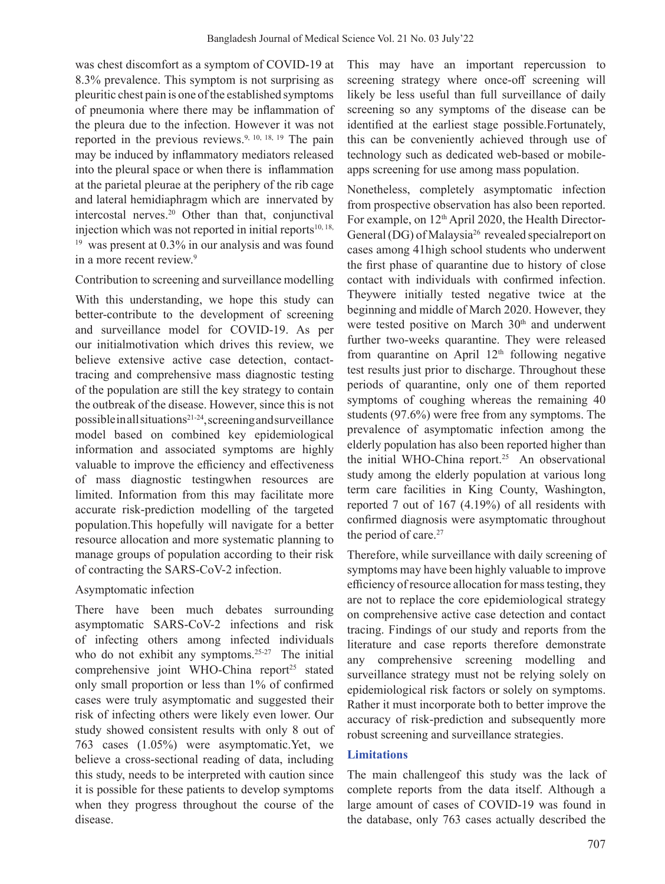was chest discomfort as a symptom of COVID-19 at 8.3% prevalence. This symptom is not surprising as pleuritic chest pain is one of the established symptoms of pneumonia where there may be inflammation of the pleura due to the infection. However it was not reported in the previous reviews.9, 10, 18, 19 The pain may be induced by inflammatory mediators released into the pleural space or when there is inflammation at the parietal pleurae at the periphery of the rib cage and lateral hemidiaphragm which are innervated by intercostal nerves.<sup>20</sup> Other than that, conjunctival injection which was not reported in initial reports $10, 18$ , <sup>19</sup> was present at 0.3% in our analysis and was found in a more recent review.9

### Contribution to screening and surveillance modelling

With this understanding, we hope this study can better-contribute to the development of screening and surveillance model for COVID-19. As per our initialmotivation which drives this review, we believe extensive active case detection, contacttracing and comprehensive mass diagnostic testing of the population are still the key strategy to contain the outbreak of the disease. However, since this is not possible in all situations21-24, screening and surveillance model based on combined key epidemiological information and associated symptoms are highly valuable to improve the efficiency and effectiveness of mass diagnostic testingwhen resources are limited. Information from this may facilitate more accurate risk-prediction modelling of the targeted population.This hopefully will navigate for a better resource allocation and more systematic planning to manage groups of population according to their risk of contracting the SARS-CoV-2 infection.

## Asymptomatic infection

There have been much debates surrounding asymptomatic SARS-CoV-2 infections and risk of infecting others among infected individuals who do not exhibit any symptoms.<sup>25-27</sup> The initial comprehensive joint WHO-China report<sup>25</sup> stated only small proportion or less than 1% of confirmed cases were truly asymptomatic and suggested their risk of infecting others were likely even lower. Our study showed consistent results with only 8 out of 763 cases (1.05%) were asymptomatic.Yet, we believe a cross-sectional reading of data, including this study, needs to be interpreted with caution since it is possible for these patients to develop symptoms when they progress throughout the course of the disease.

This may have an important repercussion to screening strategy where once-off screening will likely be less useful than full surveillance of daily screening so any symptoms of the disease can be identified at the earliest stage possible.Fortunately, this can be conveniently achieved through use of technology such as dedicated web-based or mobileapps screening for use among mass population.

Nonetheless, completely asymptomatic infection from prospective observation has also been reported. For example, on  $12<sup>th</sup>$  April 2020, the Health Director-General (DG) of Malaysia<sup>26</sup> revealed specialreport on cases among 41high school students who underwent the first phase of quarantine due to history of close contact with individuals with confirmed infection. Theywere initially tested negative twice at the beginning and middle of March 2020. However, they were tested positive on March 30<sup>th</sup> and underwent further two-weeks quarantine. They were released from quarantine on April  $12<sup>th</sup>$  following negative test results just prior to discharge. Throughout these periods of quarantine, only one of them reported symptoms of coughing whereas the remaining 40 students (97.6%) were free from any symptoms. The prevalence of asymptomatic infection among the elderly population has also been reported higher than the initial WHO-China report.<sup>25</sup> An observational study among the elderly population at various long term care facilities in King County, Washington, reported 7 out of 167 (4.19%) of all residents with confirmed diagnosis were asymptomatic throughout the period of care.<sup>27</sup>

Therefore, while surveillance with daily screening of symptoms may have been highly valuable to improve efficiency of resource allocation for masstesting, they are not to replace the core epidemiological strategy on comprehensive active case detection and contact tracing. Findings of our study and reports from the literature and case reports therefore demonstrate any comprehensive screening modelling and surveillance strategy must not be relying solely on epidemiological risk factors or solely on symptoms. Rather it must incorporate both to better improve the accuracy of risk-prediction and subsequently more robust screening and surveillance strategies.

## **Limitations**

The main challengeof this study was the lack of complete reports from the data itself. Although a large amount of cases of COVID-19 was found in the database, only 763 cases actually described the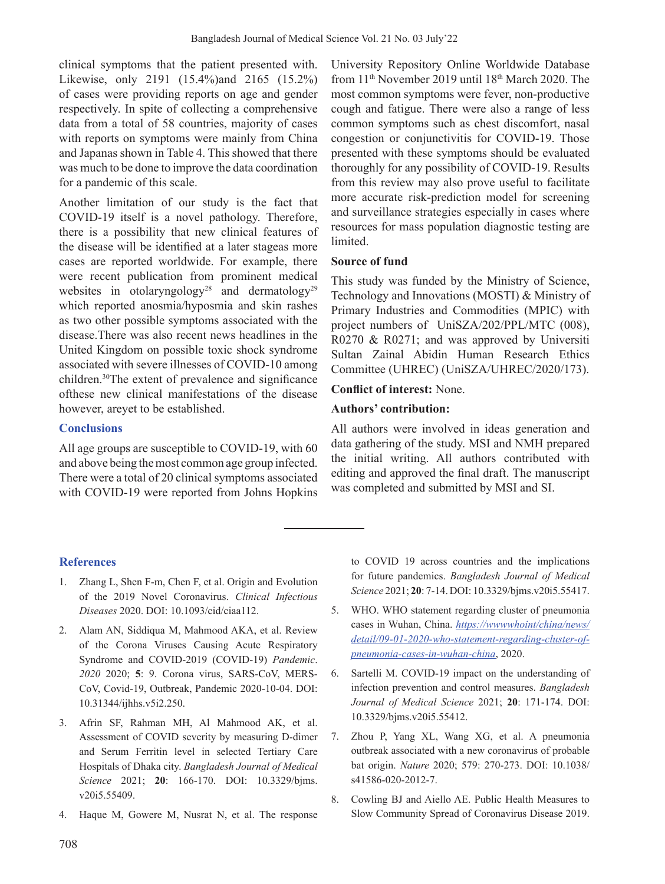clinical symptoms that the patient presented with. Likewise, only 2191 (15.4%)and 2165 (15.2%) of cases were providing reports on age and gender respectively. In spite of collecting a comprehensive data from a total of 58 countries, majority of cases with reports on symptoms were mainly from China and Japanas shown in Table 4. This showed that there was much to be done to improve the data coordination for a pandemic of this scale.

Another limitation of our study is the fact that COVID-19 itself is a novel pathology. Therefore, there is a possibility that new clinical features of the disease will be identified at a later stageas more cases are reported worldwide. For example, there were recent publication from prominent medical websites in otolaryngology<sup>28</sup> and dermatology<sup>29</sup> which reported anosmia/hyposmia and skin rashes as two other possible symptoms associated with the disease.There was also recent news headlines in the United Kingdom on possible toxic shock syndrome associated with severe illnesses of COVID-10 among children.30The extent of prevalence and significance ofthese new clinical manifestations of the disease however, areyet to be established.

### **Conclusions**

All age groups are susceptible to COVID-19, with 60 and above being the most common age group infected. There were a total of 20 clinical symptoms associated with COVID-19 were reported from Johns Hopkins

University Repository Online Worldwide Database from 11th November 2019 until 18th March 2020. The most common symptoms were fever, non-productive cough and fatigue. There were also a range of less common symptoms such as chest discomfort, nasal congestion or conjunctivitis for COVID-19. Those presented with these symptoms should be evaluated thoroughly for any possibility of COVID-19. Results from this review may also prove useful to facilitate more accurate risk-prediction model for screening and surveillance strategies especially in cases where resources for mass population diagnostic testing are limited.

### **Source of fund**

This study was funded by the Ministry of Science, Technology and Innovations (MOSTI) & Ministry of Primary Industries and Commodities (MPIC) with project numbers of UniSZA/202/PPL/MTC (008), R0270 & R0271; and was approved by Universiti Sultan Zainal Abidin Human Research Ethics Committee (UHREC) (UniSZA/UHREC/2020/173).

### **Conflict of interest:** None.

### **Authors' contribution:**

All authors were involved in ideas generation and data gathering of the study. MSI and NMH prepared the initial writing. All authors contributed with editing and approved the final draft. The manuscript was completed and submitted by MSI and SI.

## **References**

- 1. Zhang L, Shen F-m, Chen F, et al. Origin and Evolution of the 2019 Novel Coronavirus. *Clinical Infectious Diseases* 2020. DOI: 10.1093/cid/ciaa112.
- 2. Alam AN, Siddiqua M, Mahmood AKA, et al. Review of the Corona Viruses Causing Acute Respiratory Syndrome and COVID-2019 (COVID-19) *Pandemic*. *2020* 2020; **5**: 9. Corona virus, SARS-CoV, MERS-CoV, Covid-19, Outbreak, Pandemic 2020-10-04. DOI: 10.31344/ijhhs.v5i2.250.
- 3. Afrin SF, Rahman MH, Al Mahmood AK, et al. Assessment of COVID severity by measuring D-dimer and Serum Ferritin level in selected Tertiary Care Hospitals of Dhaka city. *Bangladesh Journal of Medical Science* 2021; **20**: 166-170. DOI: 10.3329/bjms. v20i5.55409.
- 4. Haque M, Gowere M, Nusrat N, et al. The response

to COVID 19 across countries and the implications for future pandemics. *Bangladesh Journal of Medical Science* 2021; **20**: 7-14. DOI: 10.3329/bjms.v20i5.55417.

- 5. WHO. WHO statement regarding cluster of pneumonia cases in Wuhan, China. *https://wwwwhoint/china/news/ detail/09-01-2020-who-statement-regarding-cluster-ofpneumonia-cases-in-wuhan-china*, 2020.
- 6. Sartelli M. COVID-19 impact on the understanding of infection prevention and control measures. *Bangladesh Journal of Medical Science* 2021; **20**: 171-174. DOI: 10.3329/bjms.v20i5.55412.
- 7. Zhou P, Yang XL, Wang XG, et al. A pneumonia outbreak associated with a new coronavirus of probable bat origin. *Nature* 2020; 579: 270-273. DOI: 10.1038/ s41586-020-2012-7.
- 8. Cowling BJ and Aiello AE. Public Health Measures to Slow Community Spread of Coronavirus Disease 2019.